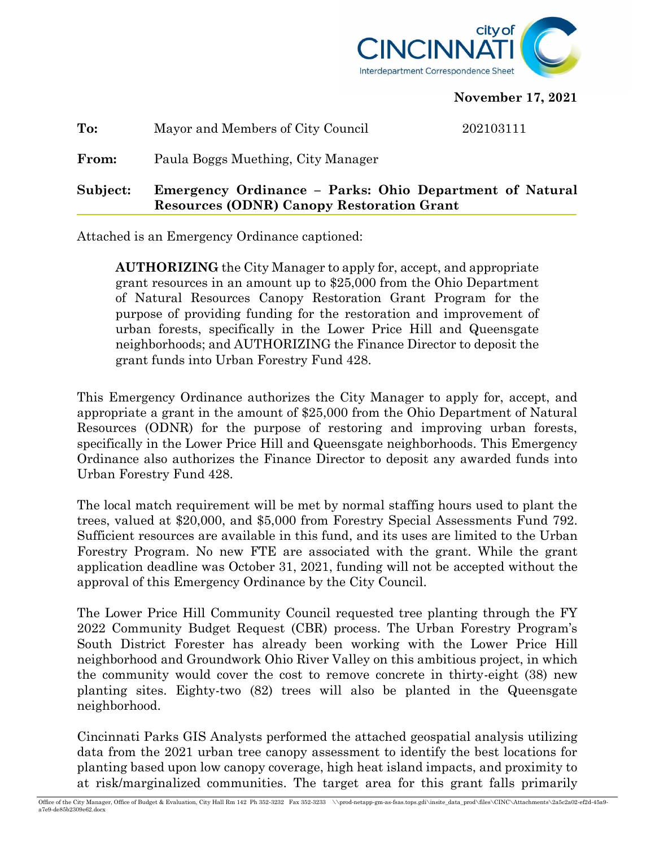

## **November 17, 2021**

**To:** Mayor and Members of City Council 202103111

**From:** Paula Boggs Muething, City Manager

**Subject: Emergency Ordinance – Parks: Ohio Department of Natural Resources (ODNR) Canopy Restoration Grant**

Attached is an Emergency Ordinance captioned:

**AUTHORIZING** the City Manager to apply for, accept, and appropriate grant resources in an amount up to \$25,000 from the Ohio Department of Natural Resources Canopy Restoration Grant Program for the purpose of providing funding for the restoration and improvement of urban forests, specifically in the Lower Price Hill and Queensgate neighborhoods; and AUTHORIZING the Finance Director to deposit the grant funds into Urban Forestry Fund 428.

This Emergency Ordinance authorizes the City Manager to apply for, accept, and appropriate a grant in the amount of \$25,000 from the Ohio Department of Natural Resources (ODNR) for the purpose of restoring and improving urban forests, specifically in the Lower Price Hill and Queensgate neighborhoods. This Emergency Ordinance also authorizes the Finance Director to deposit any awarded funds into Urban Forestry Fund 428.

The local match requirement will be met by normal staffing hours used to plant the trees, valued at \$20,000, and \$5,000 from Forestry Special Assessments Fund 792. Sufficient resources are available in this fund, and its uses are limited to the Urban Forestry Program. No new FTE are associated with the grant. While the grant application deadline was October 31, 2021, funding will not be accepted without the approval of this Emergency Ordinance by the City Council.

The Lower Price Hill Community Council requested tree planting through the FY 2022 Community Budget Request (CBR) process. The Urban Forestry Program's South District Forester has already been working with the Lower Price Hill neighborhood and Groundwork Ohio River Valley on this ambitious project, in which the community would cover the cost to remove concrete in thirty-eight (38) new planting sites. Eighty-two (82) trees will also be planted in the Queensgate neighborhood.

Cincinnati Parks GIS Analysts performed the attached geospatial analysis utilizing data from the 2021 urban tree canopy assessment to identify the best locations for planting based upon low canopy coverage, high heat island impacts, and proximity to at risk/marginalized communities. The target area for this grant falls primarily